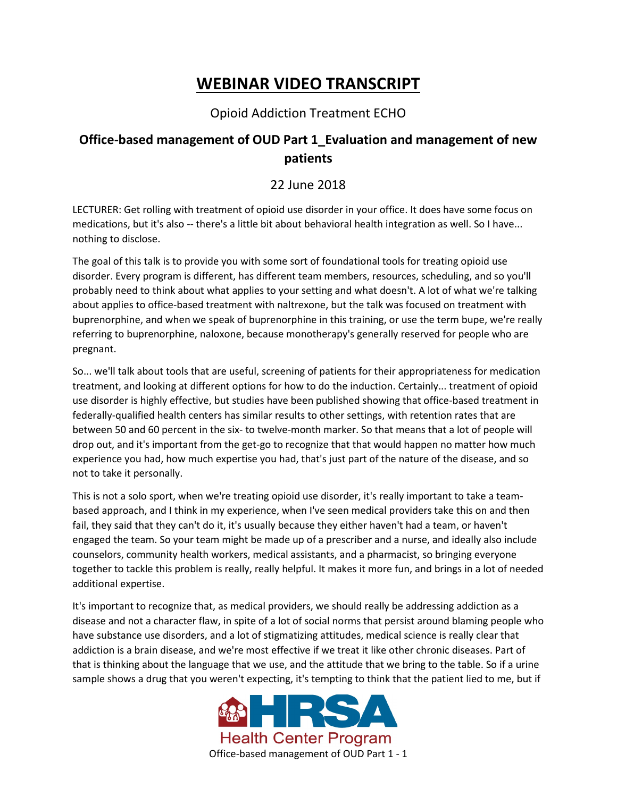## **WEBINAR VIDEO TRANSCRIPT**

## Opioid Addiction Treatment ECHO

## **Office-based management of OUD Part 1\_Evaluation and management of new patients**

## 22 June 2018

LECTURER: Get rolling with treatment of opioid use disorder in your office. It does have some focus on medications, but it's also -- there's a little bit about behavioral health integration as well. So I have... nothing to disclose.

The goal of this talk is to provide you with some sort of foundational tools for treating opioid use disorder. Every program is different, has different team members, resources, scheduling, and so you'll probably need to think about what applies to your setting and what doesn't. A lot of what we're talking about applies to office-based treatment with naltrexone, but the talk was focused on treatment with buprenorphine, and when we speak of buprenorphine in this training, or use the term bupe, we're really referring to buprenorphine, naloxone, because monotherapy's generally reserved for people who are pregnant.

So... we'll talk about tools that are useful, screening of patients for their appropriateness for medication treatment, and looking at different options for how to do the induction. Certainly... treatment of opioid use disorder is highly effective, but studies have been published showing that office-based treatment in federally-qualified health centers has similar results to other settings, with retention rates that are between 50 and 60 percent in the six- to twelve-month marker. So that means that a lot of people will drop out, and it's important from the get-go to recognize that that would happen no matter how much experience you had, how much expertise you had, that's just part of the nature of the disease, and so not to take it personally.

This is not a solo sport, when we're treating opioid use disorder, it's really important to take a teambased approach, and I think in my experience, when I've seen medical providers take this on and then fail, they said that they can't do it, it's usually because they either haven't had a team, or haven't engaged the team. So your team might be made up of a prescriber and a nurse, and ideally also include counselors, community health workers, medical assistants, and a pharmacist, so bringing everyone together to tackle this problem is really, really helpful. It makes it more fun, and brings in a lot of needed additional expertise.

It's important to recognize that, as medical providers, we should really be addressing addiction as a disease and not a character flaw, in spite of a lot of social norms that persist around blaming people who have substance use disorders, and a lot of stigmatizing attitudes, medical science is really clear that addiction is a brain disease, and we're most effective if we treat it like other chronic diseases. Part of that is thinking about the language that we use, and the attitude that we bring to the table. So if a urine sample shows a drug that you weren't expecting, it's tempting to think that the patient lied to me, but if

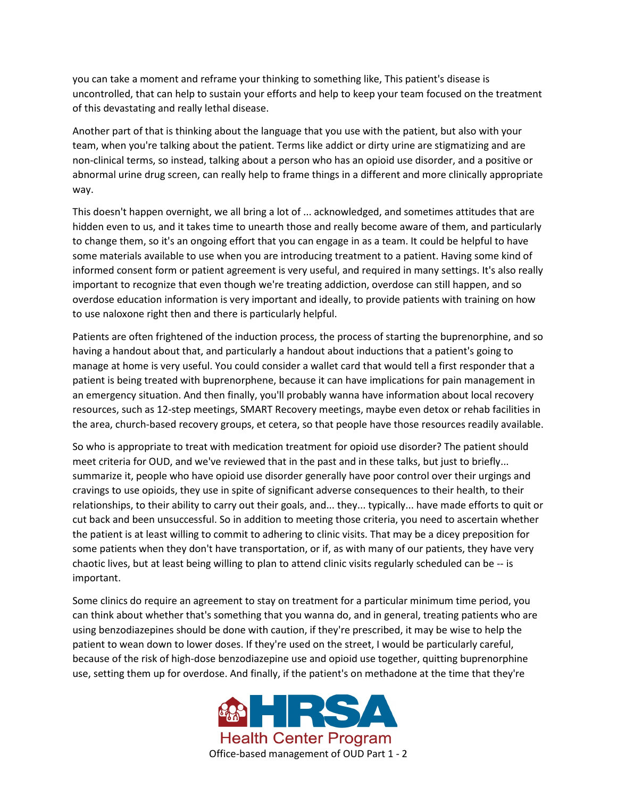you can take a moment and reframe your thinking to something like, This patient's disease is uncontrolled, that can help to sustain your efforts and help to keep your team focused on the treatment of this devastating and really lethal disease.

Another part of that is thinking about the language that you use with the patient, but also with your team, when you're talking about the patient. Terms like addict or dirty urine are stigmatizing and are non-clinical terms, so instead, talking about a person who has an opioid use disorder, and a positive or abnormal urine drug screen, can really help to frame things in a different and more clinically appropriate way.

This doesn't happen overnight, we all bring a lot of ... acknowledged, and sometimes attitudes that are hidden even to us, and it takes time to unearth those and really become aware of them, and particularly to change them, so it's an ongoing effort that you can engage in as a team. It could be helpful to have some materials available to use when you are introducing treatment to a patient. Having some kind of informed consent form or patient agreement is very useful, and required in many settings. It's also really important to recognize that even though we're treating addiction, overdose can still happen, and so overdose education information is very important and ideally, to provide patients with training on how to use naloxone right then and there is particularly helpful.

Patients are often frightened of the induction process, the process of starting the buprenorphine, and so having a handout about that, and particularly a handout about inductions that a patient's going to manage at home is very useful. You could consider a wallet card that would tell a first responder that a patient is being treated with buprenorphene, because it can have implications for pain management in an emergency situation. And then finally, you'll probably wanna have information about local recovery resources, such as 12-step meetings, SMART Recovery meetings, maybe even detox or rehab facilities in the area, church-based recovery groups, et cetera, so that people have those resources readily available.

So who is appropriate to treat with medication treatment for opioid use disorder? The patient should meet criteria for OUD, and we've reviewed that in the past and in these talks, but just to briefly... summarize it, people who have opioid use disorder generally have poor control over their urgings and cravings to use opioids, they use in spite of significant adverse consequences to their health, to their relationships, to their ability to carry out their goals, and... they... typically... have made efforts to quit or cut back and been unsuccessful. So in addition to meeting those criteria, you need to ascertain whether the patient is at least willing to commit to adhering to clinic visits. That may be a dicey preposition for some patients when they don't have transportation, or if, as with many of our patients, they have very chaotic lives, but at least being willing to plan to attend clinic visits regularly scheduled can be -- is important.

Some clinics do require an agreement to stay on treatment for a particular minimum time period, you can think about whether that's something that you wanna do, and in general, treating patients who are using benzodiazepines should be done with caution, if they're prescribed, it may be wise to help the patient to wean down to lower doses. If they're used on the street, I would be particularly careful, because of the risk of high-dose benzodiazepine use and opioid use together, quitting buprenorphine use, setting them up for overdose. And finally, if the patient's on methadone at the time that they're